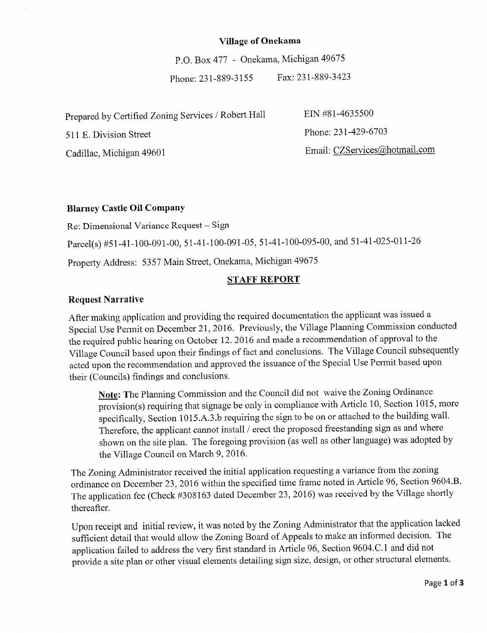#### **Village of Onekama**

P.O. Box 477 - Onekama, Michigan 49675

Phone: 231-889-3155 Fax: 231-889-3423

| Prepared by Certified Zoning Services / Robert Hall | EIN #81-4635500               |
|-----------------------------------------------------|-------------------------------|
| 511 E. Division Street                              | Phone: 231-429-6703           |
| Cadillac, Michigan 49601                            | Email: CZServices@hotmail.com |

### **Blarney Castle Oil Company**

Re: Dimensional Variance Request - Sign

Parcel(s) #51-41-100-091-00, 51-41-100-091-05, 51-41-100-095-00, and 51-41-025-011-26

Property Address: 5357 Main Street, Onekama, Michigan 49675

#### **STAFF REPORT**

#### **Request Narrative**

After making application and providing the required documentation the applicant was issued a Special Use Permit on December 21, 2016. Previously, the Village Planning Commission conducted the required public hearing on October 12. 2016 and made a recommendation of approval to the Village Council based upon their findings of fact and conclusions. The Village Council subsequently acted upon the recommendation and approved the issuance of the Special Use Permit based upon their (Councils) findings and conclusions.

**Note:** The Planning Commission and the Council did not waive the Zoning Ordinance provision(s) requiring that signage be only in compliance with Article 10, Section 1015, more specifically, Section 1015.A.3.b requiring the sign to be on or attached to the building wall. Therefore, the applicant cannot install / erect the proposed freestanding sign as and where shown on the site plan. The foregoing provision (as well as other language) was adopted by the Village Council on March 9, 2016.

The Zoning Administrator received the initial application requesting a variance from the zoning ordinance on December 23, 2016 within the specified time frame noted in Article 96, Section 9604.B. The application fee (Check #308163 dated December 23, 2016) was received by the Village shortly thereafter.

Upon receipt and initial review, it was noted by the Zoning Administrator that the application lacked sufficient detail that would allow the Zoning Board of Appeals to make an informed decision. The application failed to address the very first standard in Article 96, Section 9604.C.1 and did not provide a site plan or other visual elements detailing sign size, design, or other structural elements.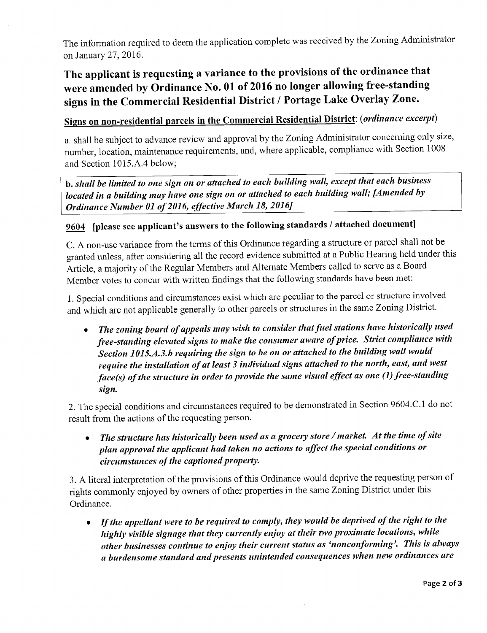The information required to deem the application complete was received by the Zoning Administrator on January 27, 2016.

## The applicant is requesting a variance to the provisions of the ordinance that were amended by Ordinance No. 01 of 2016 no longer allowing free-standing signs in the Commercial Residential District *I* Portage Lake Overlay Zone.

# Signs on non-residential parcels in the Commercial Residential District: ( *ordinance excerpt)*

a. shall be subject to advance review and approval by the Zoning Administrator concerning only size, number, location, maintenance requirements, and, where applicable, compliance with Section 1008 and Section 1015.A.4 below;

b. *shall be limited to one sign on or attached to each building wall, except that each business located in a building may have one sign on or attached to each building wall; [Amended by Ordinance Number 01 of 2016, effective March 18, 2016]* 

## 9604 [please see applicant's answers to the following standards *I* attached document]

C. A non-use variance from the terms of this Ordinance regarding a structure or parcel shall not be granted unless, after considering all the record evidence submitted at a Public Hearing held under this Article, a majority of the Regular Members and Alternate Members called to serve as a Board Member votes to concur with written findings that the following standards have been met:

1. Special conditions and circumstances exist which are peculiar to the parcel or structure involved and which are not applicable generally to other parcels or structures in the same Zoning District.

*• The zoning board of appeals may wish to consider that fuel stations have historically used free-standing elevated signs to make the consumer aware of price. Strict compliance with Section 1015.A.3.b requiring the sign to be on or attached to the building wall would require the installation of at least 3 individual signs attached to the north, east, and west face(s) of the structure in order to provide the same visual effect as one (1) free-standing sign.* 

2. The special conditions and circumstances required to be demonstrated in Section 9604.C.1 do not result from the actions of the requesting person.

• The structure has historically been used as a grocery store / market. At the time of site *plan approval the applicant had taken no actions to affect the special conditions or circumstances of the captioned property.* 

3. A literal interpretation of the provisions of this Ordinance would deprive the requesting person of rights commonly enjoyed by owners of other properties in the same Zoning District under this Ordinance.

**•** If the appellant were to be required to comply, they would be deprived of the right to the *highly visible signage that they currently enjoy at their two proximate locations, while other businesses continue to enjoy their current status as 'nonconforming'. This is always a burdensome standard and presents unintended consequences when new ordinances are*